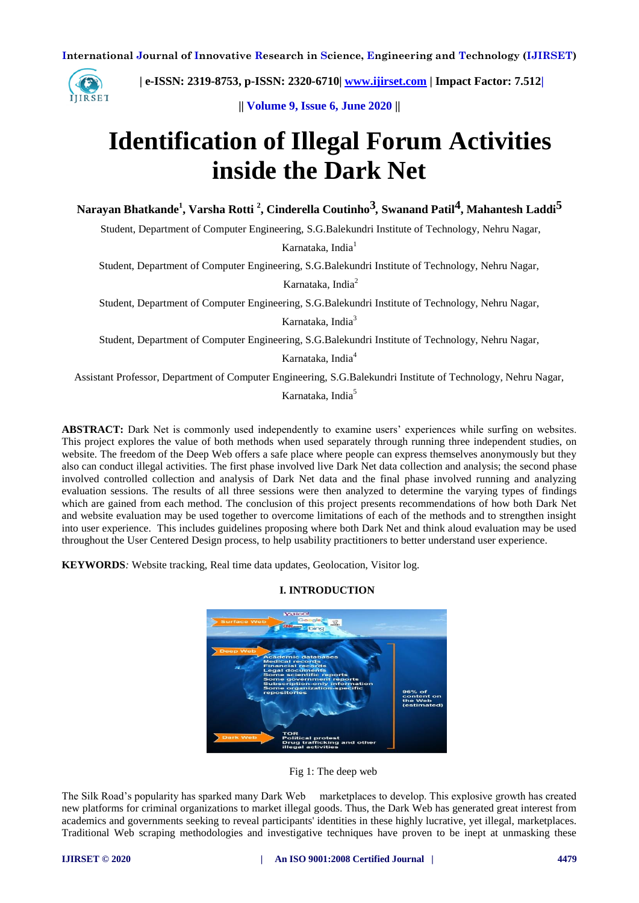

 **| e-ISSN: 2319-8753, p-ISSN: 2320-6710| [www.ijirset.com](http://www.ijirset.com/) | Impact Factor: 7.512|**

**|| Volume 9, Issue 6, June 2020 ||** 

# **Identification of Illegal Forum Activities inside the Dark Net**

**Narayan Bhatkande<sup>1</sup> , Varsha Rotti <sup>2</sup> , Cinderella Coutinho3***,* **Swanand Patil4, Mahantesh Laddi5**

Student, Department of Computer Engineering, S.G.Balekundri Institute of Technology, Nehru Nagar,

Karnataka, India<sup>1</sup>

Student, Department of Computer Engineering, S.G.Balekundri Institute of Technology, Nehru Nagar,

Karnataka, India<sup>2</sup>

Student, Department of Computer Engineering, S.G.Balekundri Institute of Technology, Nehru Nagar,

Karnataka, India<sup>3</sup>

Student, Department of Computer Engineering, S.G.Balekundri Institute of Technology, Nehru Nagar,

Karnataka, India<sup>4</sup>

Assistant Professor, Department of Computer Engineering, S.G.Balekundri Institute of Technology, Nehru Nagar,

Karnataka, India<sup>5</sup>

**ABSTRACT:** Dark Net is commonly used independently to examine users' experiences while surfing on websites. This project explores the value of both methods when used separately through running three independent studies, on website. The freedom of the Deep Web offers a safe place where people can express themselves anonymously but they also can conduct illegal activities. The first phase involved live Dark Net data collection and analysis; the second phase involved controlled collection and analysis of Dark Net data and the final phase involved running and analyzing evaluation sessions. The results of all three sessions were then analyzed to determine the varying types of findings which are gained from each method. The conclusion of this project presents recommendations of how both Dark Net and website evaluation may be used together to overcome limitations of each of the methods and to strengthen insight into user experience. This includes guidelines proposing where both Dark Net and think aloud evaluation may be used throughout the User Centered Design process, to help usability practitioners to better understand user experience.

**KEYWORDS***:* Website tracking, Real time data updates, Geolocation, Visitor log.



# **I. INTRODUCTION**

Fig 1: The deep web

The Silk Road's popularity has sparked many Dark Web marketplaces to develop. This explosive growth has created new platforms for criminal organizations to market illegal goods. Thus, the Dark Web has generated great interest from academics and governments seeking to reveal participants' identities in these highly lucrative, yet illegal, marketplaces. Traditional Web scraping methodologies and investigative techniques have proven to be inept at unmasking these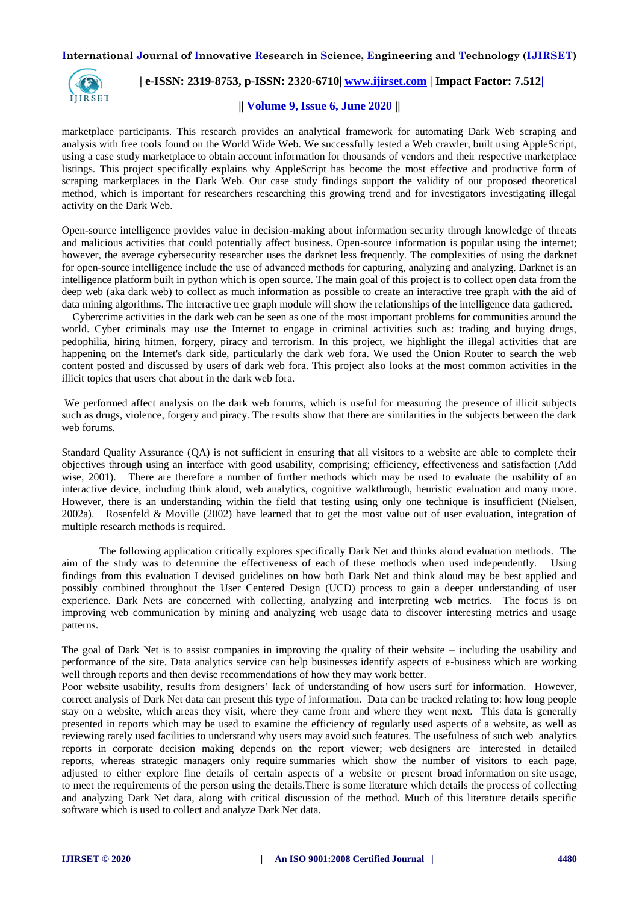

## **| e-ISSN: 2319-8753, p-ISSN: 2320-6710| [www.ijirset.com](http://www.ijirset.com/) | Impact Factor: 7.512|**

#### **|| Volume 9, Issue 6, June 2020 ||**

marketplace participants. This research provides an analytical framework for automating Dark Web scraping and analysis with free tools found on the World Wide Web. We successfully tested a Web crawler, built using AppleScript, using a case study marketplace to obtain account information for thousands of vendors and their respective marketplace listings. This project specifically explains why AppleScript has become the most effective and productive form of scraping marketplaces in the Dark Web. Our case study findings support the validity of our proposed theoretical method, which is important for researchers researching this growing trend and for investigators investigating illegal activity on the Dark Web.

Open-source intelligence provides value in decision-making about information security through knowledge of threats and malicious activities that could potentially affect business. Open-source information is popular using the internet; however, the average cybersecurity researcher uses the darknet less frequently. The complexities of using the darknet for open-source intelligence include the use of advanced methods for capturing, analyzing and analyzing. Darknet is an intelligence platform built in python which is open source. The main goal of this project is to collect open data from the deep web (aka dark web) to collect as much information as possible to create an interactive tree graph with the aid of data mining algorithms. The interactive tree graph module will show the relationships of the intelligence data gathered.

 Cybercrime activities in the dark web can be seen as one of the most important problems for communities around the world. Cyber criminals may use the Internet to engage in criminal activities such as: trading and buying drugs, pedophilia, hiring hitmen, forgery, piracy and terrorism. In this project, we highlight the illegal activities that are happening on the Internet's dark side, particularly the dark web fora. We used the Onion Router to search the web content posted and discussed by users of dark web fora. This project also looks at the most common activities in the illicit topics that users chat about in the dark web fora.

We performed affect analysis on the dark web forums, which is useful for measuring the presence of illicit subjects such as drugs, violence, forgery and piracy. The results show that there are similarities in the subjects between the dark web forums.

Standard Quality Assurance (QA) is not sufficient in ensuring that all visitors to a website are able to complete their objectives through using an interface with good usability, comprising; efficiency, effectiveness and satisfaction (Add wise, 2001). There are therefore a number of further methods which may be used to evaluate the usability of an interactive device, including think aloud, web analytics, cognitive walkthrough, heuristic evaluation and many more. However, there is an understanding within the field that testing using only one technique is insufficient (Nielsen, 2002a). Rosenfeld & Moville (2002) have learned that to get the most value out of user evaluation, integration of multiple research methods is required.

 The following application critically explores specifically Dark Net and thinks aloud evaluation methods. The aim of the study was to determine the effectiveness of each of these methods when used independently. Using findings from this evaluation I devised guidelines on how both Dark Net and think aloud may be best applied and possibly combined throughout the User Centered Design (UCD) process to gain a deeper understanding of user experience. Dark Nets are concerned with collecting, analyzing and interpreting web metrics. The focus is on improving web communication by mining and analyzing web usage data to discover interesting metrics and usage patterns.

The goal of Dark Net is to assist companies in improving the quality of their website – including the usability and performance of the site. Data analytics service can help businesses identify aspects of e-business which are working well through reports and then devise recommendations of how they may work better.

Poor website usability, results from designers' lack of understanding of how users surf for information. However, correct analysis of Dark Net data can present this type of information. Data can be tracked relating to: how long people stay on a website, which areas they visit, where they came from and where they went next. This data is generally presented in reports which may be used to examine the efficiency of regularly used aspects of a website, as well as reviewing rarely used facilities to understand why users may avoid such features. The usefulness of such web analytics reports in corporate decision making depends on the report viewer; web designers are interested in detailed reports, whereas strategic managers only require summaries which show the number of visitors to each page, adjusted to either explore fine details of certain aspects of a website or present broad information on site usage, to meet the requirements of the person using the details.There is some literature which details the process of collecting and analyzing Dark Net data, along with critical discussion of the method. Much of this literature details specific software which is used to collect and analyze Dark Net data.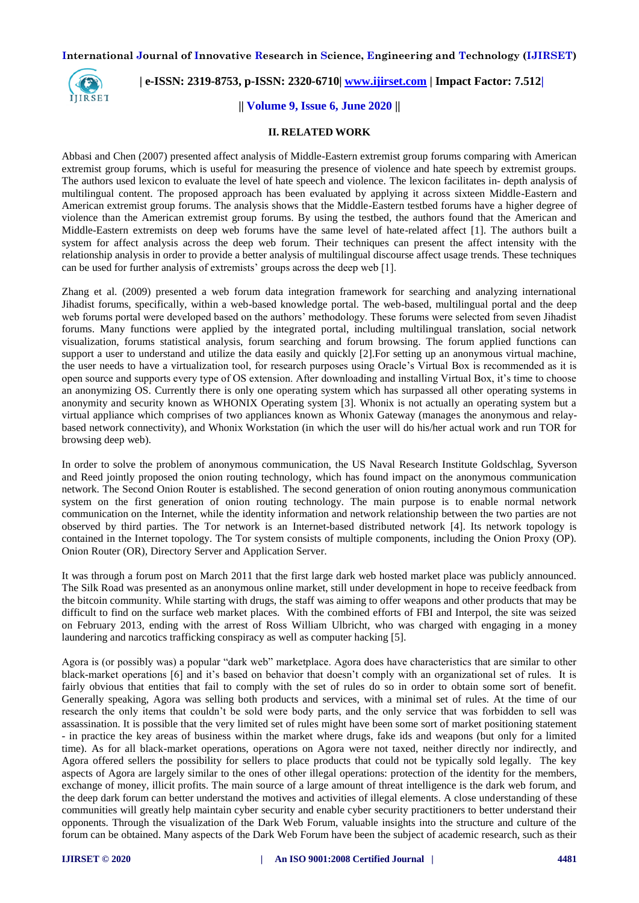

 **| e-ISSN: 2319-8753, p-ISSN: 2320-6710| [www.ijirset.com](http://www.ijirset.com/) | Impact Factor: 7.512|**

## **|| Volume 9, Issue 6, June 2020 ||**

#### **II. RELATED WORK**

Abbasi and Chen (2007) presented affect analysis of Middle-Eastern extremist group forums comparing with American extremist group forums, which is useful for measuring the presence of violence and hate speech by extremist groups. The authors used lexicon to evaluate the level of hate speech and violence. The lexicon facilitates in- depth analysis of multilingual content. The proposed approach has been evaluated by applying it across sixteen Middle-Eastern and American extremist group forums. The analysis shows that the Middle-Eastern testbed forums have a higher degree of violence than the American extremist group forums. By using the testbed, the authors found that the American and Middle-Eastern extremists on deep web forums have the same level of hate-related affect [1]. The authors built a system for affect analysis across the deep web forum. Their techniques can present the affect intensity with the relationship analysis in order to provide a better analysis of multilingual discourse affect usage trends. These techniques can be used for further analysis of extremists' groups across the deep web [1].

Zhang et al. (2009) presented a web forum data integration framework for searching and analyzing international Jihadist forums, specifically, within a web-based knowledge portal. The web-based, multilingual portal and the deep web forums portal were developed based on the authors' methodology. These forums were selected from seven Jihadist forums. Many functions were applied by the integrated portal, including multilingual translation, social network visualization, forums statistical analysis, forum searching and forum browsing. The forum applied functions can support a user to understand and utilize the data easily and quickly [2]. For setting up an anonymous virtual machine, the user needs to have a virtualization tool, for research purposes using Oracle's Virtual Box is recommended as it is open source and supports every type of OS extension. After downloading and installing Virtual Box, it's time to choose an anonymizing OS. Currently there is only one operating system which has surpassed all other operating systems in anonymity and security known as WHONIX Operating system [3]. Whonix is not actually an operating system but a virtual appliance which comprises of two appliances known as Whonix Gateway (manages the anonymous and relaybased network connectivity), and Whonix Workstation (in which the user will do his/her actual work and run TOR for browsing deep web).

In order to solve the problem of anonymous communication, the US Naval Research Institute Goldschlag, Syverson and Reed jointly proposed the onion routing technology, which has found impact on the anonymous communication network. The Second Onion Router is established. The second generation of onion routing anonymous communication system on the first generation of onion routing technology. The main purpose is to enable normal network communication on the Internet, while the identity information and network relationship between the two parties are not observed by third parties. The Tor network is an Internet-based distributed network [4]. Its network topology is contained in the Internet topology. The Tor system consists of multiple components, including the Onion Proxy (OP). Onion Router (OR), Directory Server and Application Server.

It was through a forum post on March 2011 that the first large dark web hosted market place was publicly announced. The Silk Road was presented as an anonymous online market, still under development in hope to receive feedback from the bitcoin community. While starting with drugs, the staff was aiming to offer weapons and other products that may be difficult to find on the surface web market places. With the combined efforts of FBI and Interpol, the site was seized on February 2013, ending with the arrest of Ross William Ulbricht, who was charged with engaging in a money laundering and narcotics trafficking conspiracy as well as computer hacking [5].

Agora is (or possibly was) a popular "dark web" marketplace. Agora does have characteristics that are similar to other black-market operations [6] and it's based on behavior that doesn't comply with an organizational set of rules. It is fairly obvious that entities that fail to comply with the set of rules do so in order to obtain some sort of benefit. Generally speaking, Agora was selling both products and services, with a minimal set of rules. At the time of our research the only items that couldn't be sold were body parts, and the only service that was forbidden to sell was assassination. It is possible that the very limited set of rules might have been some sort of market positioning statement - in practice the key areas of business within the market where drugs, fake ids and weapons (but only for a limited time). As for all black-market operations, operations on Agora were not taxed, neither directly nor indirectly, and Agora offered sellers the possibility for sellers to place products that could not be typically sold legally. The key aspects of Agora are largely similar to the ones of other illegal operations: protection of the identity for the members, exchange of money, illicit profits. The main source of a large amount of threat intelligence is the dark web forum, and the deep dark forum can better understand the motives and activities of illegal elements. A close understanding of these communities will greatly help maintain cyber security and enable cyber security practitioners to better understand their opponents. Through the visualization of the Dark Web Forum, valuable insights into the structure and culture of the forum can be obtained. Many aspects of the Dark Web Forum have been the subject of academic research, such as their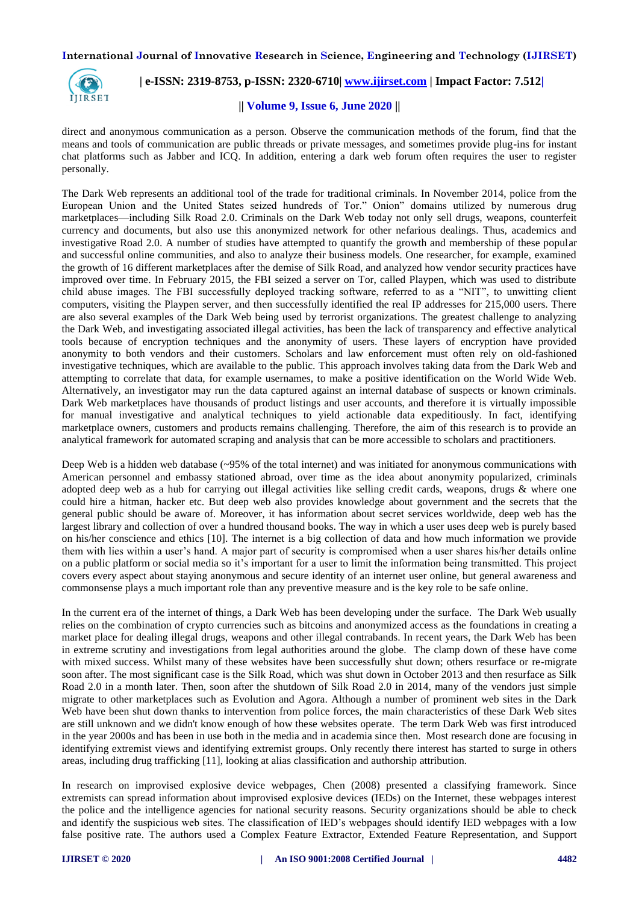

 **| e-ISSN: 2319-8753, p-ISSN: 2320-6710| [www.ijirset.com](http://www.ijirset.com/) | Impact Factor: 7.512|**

#### **|| Volume 9, Issue 6, June 2020 ||**

direct and anonymous communication as a person. Observe the communication methods of the forum, find that the means and tools of communication are public threads or private messages, and sometimes provide plug-ins for instant chat platforms such as Jabber and ICQ. In addition, entering a dark web forum often requires the user to register personally.

The Dark Web represents an additional tool of the trade for traditional criminals. In November 2014, police from the European Union and the United States seized hundreds of Tor." Onion" domains utilized by numerous drug marketplaces—including Silk Road 2.0. Criminals on the Dark Web today not only sell drugs, weapons, counterfeit currency and documents, but also use this anonymized network for other nefarious dealings. Thus, academics and investigative Road 2.0. A number of studies have attempted to quantify the growth and membership of these popular and successful online communities, and also to analyze their business models. One researcher, for example, examined the growth of 16 different marketplaces after the demise of Silk Road, and analyzed how vendor security practices have improved over time. In February 2015, the FBI seized a server on Tor, called Playpen, which was used to distribute child abuse images. The FBI successfully deployed tracking software, referred to as a "NIT", to unwitting client computers, visiting the Playpen server, and then successfully identified the real IP addresses for 215,000 users. There are also several examples of the Dark Web being used by terrorist organizations. The greatest challenge to analyzing the Dark Web, and investigating associated illegal activities, has been the lack of transparency and effective analytical tools because of encryption techniques and the anonymity of users. These layers of encryption have provided anonymity to both vendors and their customers. Scholars and law enforcement must often rely on old-fashioned investigative techniques, which are available to the public. This approach involves taking data from the Dark Web and attempting to correlate that data, for example usernames, to make a positive identification on the World Wide Web. Alternatively, an investigator may run the data captured against an internal database of suspects or known criminals. Dark Web marketplaces have thousands of product listings and user accounts, and therefore it is virtually impossible for manual investigative and analytical techniques to yield actionable data expeditiously. In fact, identifying marketplace owners, customers and products remains challenging. Therefore, the aim of this research is to provide an analytical framework for automated scraping and analysis that can be more accessible to scholars and practitioners.

Deep Web is a hidden web database  $(-95\%$  of the total internet) and was initiated for anonymous communications with American personnel and embassy stationed abroad, over time as the idea about anonymity popularized, criminals adopted deep web as a hub for carrying out illegal activities like selling credit cards, weapons, drugs & where one could hire a hitman, hacker etc. But deep web also provides knowledge about government and the secrets that the general public should be aware of. Moreover, it has information about secret services worldwide, deep web has the largest library and collection of over a hundred thousand books. The way in which a user uses deep web is purely based on his/her conscience and ethics [10]. The internet is a big collection of data and how much information we provide them with lies within a user's hand. A major part of security is compromised when a user shares his/her details online on a public platform or social media so it's important for a user to limit the information being transmitted. This project covers every aspect about staying anonymous and secure identity of an internet user online, but general awareness and commonsense plays a much important role than any preventive measure and is the key role to be safe online.

In the current era of the internet of things, a Dark Web has been developing under the surface. The Dark Web usually relies on the combination of crypto currencies such as bitcoins and anonymized access as the foundations in creating a market place for dealing illegal drugs, weapons and other illegal contrabands. In recent years, the Dark Web has been in extreme scrutiny and investigations from legal authorities around the globe. The clamp down of these have come with mixed success. Whilst many of these websites have been successfully shut down; others resurface or re-migrate soon after. The most significant case is the Silk Road, which was shut down in October 2013 and then resurface as Silk Road 2.0 in a month later. Then, soon after the shutdown of Silk Road 2.0 in 2014, many of the vendors just simple migrate to other marketplaces such as Evolution and Agora. Although a number of prominent web sites in the Dark Web have been shut down thanks to intervention from police forces, the main characteristics of these Dark Web sites are still unknown and we didn't know enough of how these websites operate. The term Dark Web was first introduced in the year 2000s and has been in use both in the media and in academia since then. Most research done are focusing in identifying extremist views and identifying extremist groups. Only recently there interest has started to surge in others areas, including drug trafficking [11], looking at alias classification and authorship attribution.

In research on improvised explosive device webpages, Chen (2008) presented a classifying framework. Since extremists can spread information about improvised explosive devices (IEDs) on the Internet, these webpages interest the police and the intelligence agencies for national security reasons. Security organizations should be able to check and identify the suspicious web sites. The classification of IED's webpages should identify IED webpages with a low false positive rate. The authors used a Complex Feature Extractor, Extended Feature Representation, and Support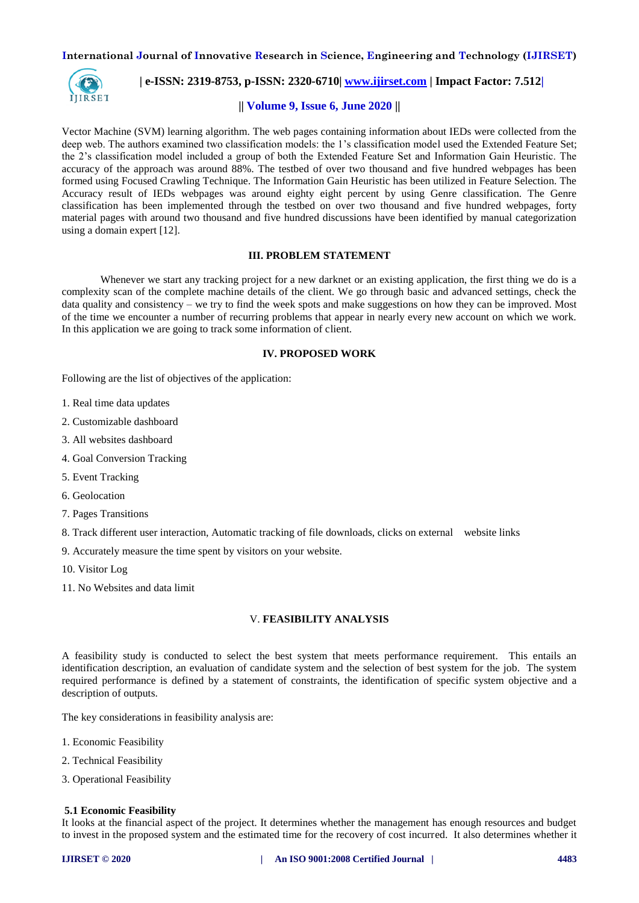

 **| e-ISSN: 2319-8753, p-ISSN: 2320-6710| [www.ijirset.com](http://www.ijirset.com/) | Impact Factor: 7.512|**

#### **|| Volume 9, Issue 6, June 2020 ||**

Vector Machine (SVM) learning algorithm. The web pages containing information about IEDs were collected from the deep web. The authors examined two classification models: the 1's classification model used the Extended Feature Set; the 2's classification model included a group of both the Extended Feature Set and Information Gain Heuristic. The accuracy of the approach was around 88%. The testbed of over two thousand and five hundred webpages has been formed using Focused Crawling Technique. The Information Gain Heuristic has been utilized in Feature Selection. The Accuracy result of IEDs webpages was around eighty eight percent by using Genre classification. The Genre classification has been implemented through the testbed on over two thousand and five hundred webpages, forty material pages with around two thousand and five hundred discussions have been identified by manual categorization using a domain expert [12].

#### **III. PROBLEM STATEMENT**

Whenever we start any tracking project for a new darknet or an existing application, the first thing we do is a complexity scan of the complete machine details of the client. We go through basic and advanced settings, check the data quality and consistency – we try to find the week spots and make suggestions on how they can be improved. Most of the time we encounter a number of recurring problems that appear in nearly every new account on which we work. In this application we are going to track some information of client.

#### **IV. PROPOSED WORK**

Following are the list of objectives of the application:

- 1. Real time data updates
- 2. Customizable dashboard
- 3. All websites dashboard
- 4. Goal Conversion Tracking
- 5. Event Tracking
- 6. Geolocation
- 7. Pages Transitions

8. Track different user interaction, Automatic tracking of file downloads, clicks on external website links

9. Accurately measure the time spent by visitors on your website.

- 10. Visitor Log
- 11. No Websites and data limit

## V. **FEASIBILITY ANALYSIS**

A feasibility study is conducted to select the best system that meets performance requirement. This entails an identification description, an evaluation of candidate system and the selection of best system for the job. The system required performance is defined by a statement of constraints, the identification of specific system objective and a description of outputs.

The key considerations in feasibility analysis are:

- 1. Economic Feasibility
- 2. Technical Feasibility
- 3. Operational Feasibility

#### **5.1 Economic Feasibility**

It looks at the financial aspect of the project. It determines whether the management has enough resources and budget to invest in the proposed system and the estimated time for the recovery of cost incurred. It also determines whether it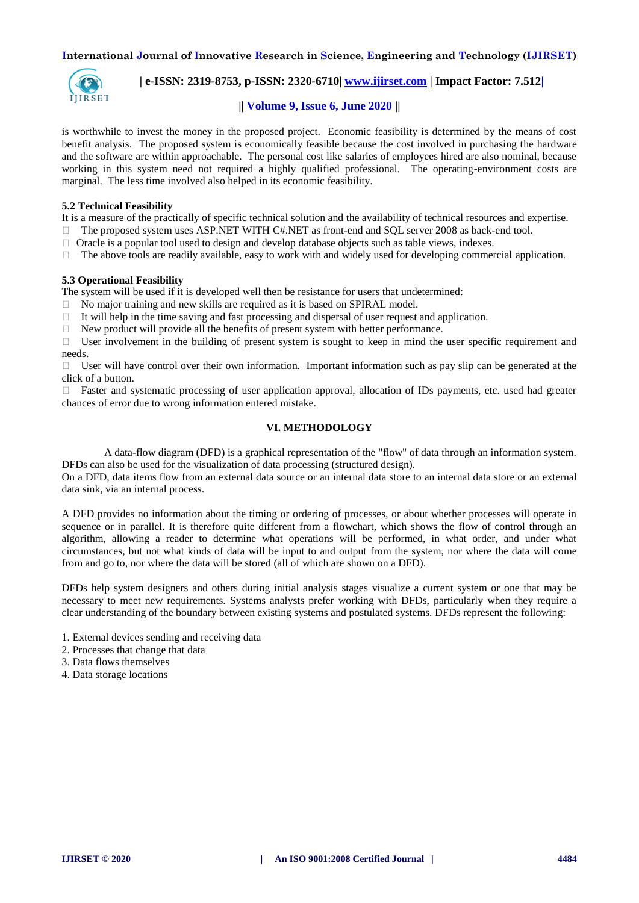

 **| e-ISSN: 2319-8753, p-ISSN: 2320-6710| [www.ijirset.com](http://www.ijirset.com/) | Impact Factor: 7.512|**

## **|| Volume 9, Issue 6, June 2020 ||**

is worthwhile to invest the money in the proposed project. Economic feasibility is determined by the means of cost benefit analysis. The proposed system is economically feasible because the cost involved in purchasing the hardware and the software are within approachable. The personal cost like salaries of employees hired are also nominal, because working in this system need not required a highly qualified professional. The operating-environment costs are marginal. The less time involved also helped in its economic feasibility.

#### **5.2 Technical Feasibility**

It is a measure of the practically of specific technical solution and the availability of technical resources and expertise.

 $\Box$  The proposed system uses ASP.NET WITH C#.NET as front-end and SOL server 2008 as back-end tool.

 $\Box$  Oracle is a popular tool used to design and develop database objects such as table views, indexes.

 $\Box$  The above tools are readily available, easy to work with and widely used for developing commercial application.

## **5.3 Operational Feasibility**

The system will be used if it is developed well then be resistance for users that undetermined:

- $\Box$  No major training and new skills are required as it is based on SPIRAL model.
- $\Box$  It will help in the time saving and fast processing and dispersal of user request and application.
- $\Box$  New product will provide all the benefits of present system with better performance.

 $\Box$  User involvement in the building of present system is sought to keep in mind the user specific requirement and needs.

 $\Box$  User will have control over their own information. Important information such as pay slip can be generated at the click of a button.

 $\Box$  Faster and systematic processing of user application approval, allocation of IDs payments, etc. used had greater chances of error due to wrong information entered mistake.

## **VI. METHODOLOGY**

 A data-flow diagram (DFD) is a graphical representation of the "flow" of data through an information system. DFDs can also be used for the visualization of data processing (structured design).

On a DFD, data items flow from an external data source or an internal data store to an internal data store or an external data sink, via an internal process.

A DFD provides no information about the timing or ordering of processes, or about whether processes will operate in sequence or in parallel. It is therefore quite different from a flowchart, which shows the flow of control through an algorithm, allowing a reader to determine what operations will be performed, in what order, and under what circumstances, but not what kinds of data will be input to and output from the system, nor where the data will come from and go to, nor where the data will be stored (all of which are shown on a DFD).

DFDs help system designers and others during initial analysis stages visualize a current system or one that may be necessary to meet new requirements. Systems analysts prefer working with DFDs, particularly when they require a clear understanding of the boundary between existing systems and postulated systems. DFDs represent the following:

- 1. External devices sending and receiving data
- 2. Processes that change that data
- 3. Data flows themselves
- 4. Data storage locations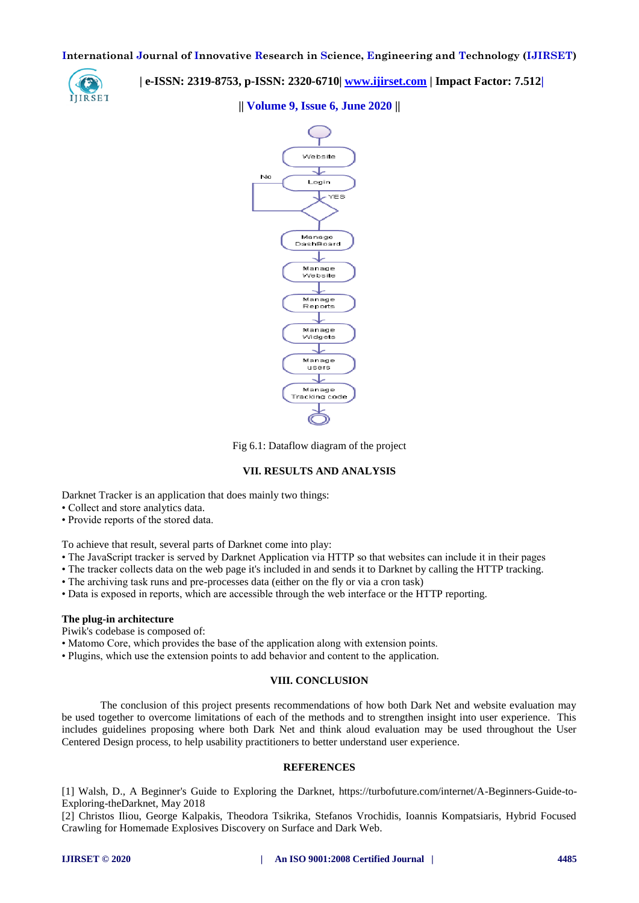

 **| e-ISSN: 2319-8753, p-ISSN: 2320-6710| [www.ijirset.com](http://www.ijirset.com/) | Impact Factor: 7.512|**

**|| Volume 9, Issue 6, June 2020 ||** 



Fig 6.1: Dataflow diagram of the project

#### **VII. RESULTS AND ANALYSIS**

Darknet Tracker is an application that does mainly two things:

- Collect and store analytics data.
- Provide reports of the stored data.

To achieve that result, several parts of Darknet come into play:

- The JavaScript tracker is served by Darknet Application via HTTP so that websites can include it in their pages
- The tracker collects data on the web page it's included in and sends it to Darknet by calling the HTTP tracking.
- The archiving task runs and pre-processes data (either on the fly or via a cron task)
- Data is exposed in reports, which are accessible through the web interface or the HTTP reporting.

#### **The plug-in architecture**

Piwik's codebase is composed of:

- Matomo Core, which provides the base of the application along with extension points.
- Plugins, which use the extension points to add behavior and content to the application.

## **VIII. CONCLUSION**

The conclusion of this project presents recommendations of how both Dark Net and website evaluation may be used together to overcome limitations of each of the methods and to strengthen insight into user experience. This includes guidelines proposing where both Dark Net and think aloud evaluation may be used throughout the User Centered Design process, to help usability practitioners to better understand user experience.

#### **REFERENCES**

[1] Walsh, D., A Beginner's Guide to Exploring the Darknet, https://turbofuture.com/internet/A-Beginners-Guide-to-Exploring-theDarknet, May 2018

[2] Christos Iliou, George Kalpakis, Theodora Tsikrika, Stefanos Vrochidis, Ioannis Kompatsiaris, Hybrid Focused Crawling for Homemade Explosives Discovery on Surface and Dark Web.